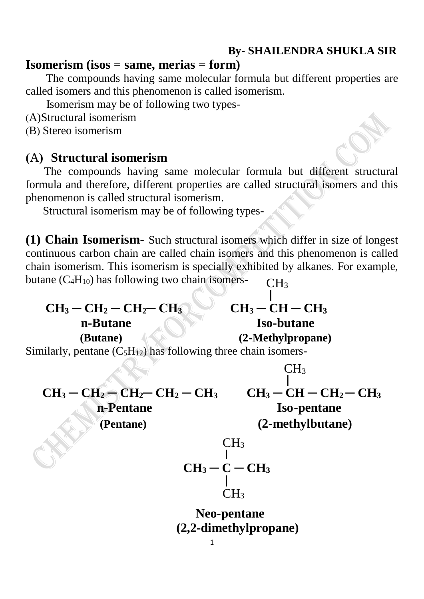## **By- SHAILENDRA SHUKLA SIR**

## **Isomerism (isos = same, merias = form)**

 The compounds having same molecular formula but different properties are called isomers and this phenomenon is called isomerism.

Isomerism may be of following two types-

(A)Structural isomerism

(B) Stereo isomerism

## **(**A**) Structural isomerism**

 The compounds having same molecular formula but different structural formula and therefore, different properties are called structural isomers and this phenomenon is called structural isomerism.

Structural isomerism may be of following types-

**(1) Chain Isomerism-** Such structural isomers which differ in size of longest continuous carbon chain are called chain isomers and this phenomenon is called chain isomerism. This isomerism is specially exhibited by alkanes. For example, butane  $(C_4H_{10})$  has following two chain isomers- $CH<sub>3</sub>$ 

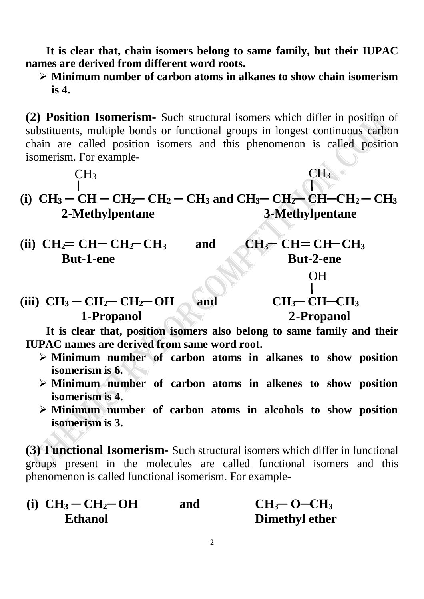**It is clear that, chain isomers belong to same family, but their IUPAC names are derived from different word roots.**

 **Minimum number of carbon atoms in alkanes to show chain isomerism is 4.**

**(2) Position Isomerism-** Such structural isomers which differ in position of substituents, multiple bonds or functional groups in longest continuous carbon chain are called position isomers and this phenomenon is called position isomerism. For example-

$$
CH_3 \qquad \qquad CH_3
$$

**(i)**  $CH_3 - CH - CH_2 - CH_2 - CH_3$  and  $CH_3 - CH_2 - CH_2 - CH_2 - CH_3$  **2-Methylpentane 3-Methylpentane**

- (ii)  $CH_2=CH-CH_2-CH_3$  and  $CH_3=CH-CH_3$ **But-1-ene** But-2-ene
- OH
- $(H_3 CH_2 CH_2 CH_2 OH)$  and  $CH_3 CH_2 CH_3$  **1-Propanol 2-Propanol**

 **It is clear that, position isomers also belong to same family and their IUPAC names are derived from same word root.**

- **Minimum number of carbon atoms in alkanes to show position isomerism is 6.**
- **Minimum number of carbon atoms in alkenes to show position isomerism is 4.**
- **Minimum number of carbon atoms in alcohols to show position isomerism is 3.**

**(3) Functional Isomerism-** Such structural isomers which differ in functional groups present in the molecules are called functional isomers and this phenomenon is called functional isomerism. For example-

| (i) $CH_3-CH_2-OH$ | and | $CH3$ - O-CH <sub>3</sub> |
|--------------------|-----|---------------------------|
| <b>Ethanol</b>     |     | <b>Dimethyl ether</b>     |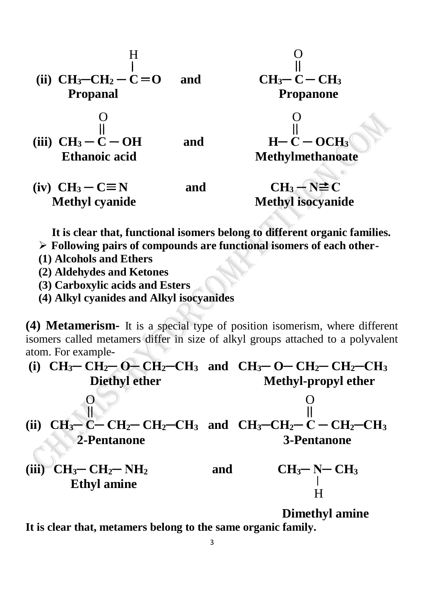



 $(iv) \quad CH_3 - C \equiv N$  and  $CH_3 - N \equiv C$ **Methyl cyanide** Methyl isocyanide

 **It is clear that, functional isomers belong to different organic families.**

- **Following pairs of compounds are functional isomers of each other-**
- **(1) Alcohols and Ethers**
- **(2) Aldehydes and Ketones**
- **(3) Carboxylic acids and Esters**
- **(4) Alkyl cyanides and Alkyl isocyanides**

**(4) Metamerism-** It is a special type of position isomerism, where different isomers called metamers differ in size of alkyl groups attached to a polyvalent atom. For example-

| (i)   | $CH_3$ – $CH_2$ – $OH_2$ – $CH_3$ and $CH_3$ – $OH_2$ – $CH_2$ – $CH_2$ – $CH_3$ |     |                           |
|-------|----------------------------------------------------------------------------------|-----|---------------------------|
|       | <b>Diethyl ether</b>                                                             |     | Methyl-propyl ether       |
|       |                                                                                  |     |                           |
| (ii)  | $CH_3-C-CH_2-CH_2-CH_3$ and $CH_3-CH_2-C-H_2-CH_3$                               |     |                           |
|       | 2-Pentanone                                                                      |     | <b>3-Pentanone</b>        |
| (iii) | $CH_3$ – $CH_2$ – $NH_2$                                                         | and | $CH_3$ -N-CH <sub>3</sub> |
|       | <b>Ethyl amine</b>                                                               |     |                           |

 **Dimethyl amine**

**It is clear that, metamers belong to the same organic family.**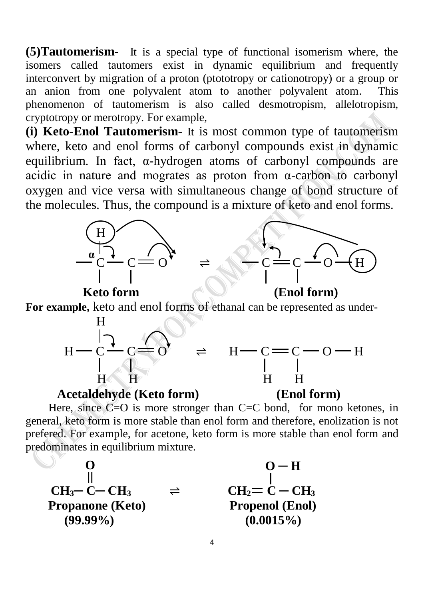**(5)Tautomerism-** It is a special type of functional isomerism where, the isomers called tautomers exist in dynamic equilibrium and frequently interconvert by migration of a proton (ptototropy or cationotropy) or a group or an anion from one polyvalent atom to another polyvalent atom. This phenomenon of tautomerism is also called desmotropism, allelotropism, cryptotropy or merotropy. For example,

**(i) Keto-Enol Tautomerism-** It is most common type of tautomerism where, keto and enol forms of carbonyl compounds exist in dynamic equilibrium. In fact, α-hydrogen atoms of carbonyl compounds are acidic in nature and mogrates as proton from  $\alpha$ -carbon to carbonyl oxygen and vice versa with simultaneous change of bond structure of the molecules. Thus, the compound is a mixture of keto and enol forms.



**For example,** keto and enol forms of ethanal can be represented as under-





Here, since  $\mathbb{C}$ = $\mathbb{O}$  is more stronger than C= $\mathbb{C}$  bond, for mono ketones, in general, keto form is more stable than enol form and therefore, enolization is not prefered. For example, for acetone, keto form is more stable than enol form and predominates in equilibrium mixture.

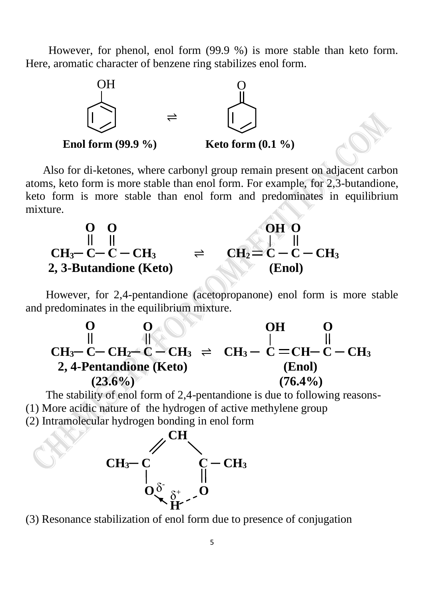However, for phenol, enol form (99.9 %) is more stable than keto form. Here, aromatic character of benzene ring stabilizes enol form.



 Also for di-ketones, where carbonyl group remain present on adjacent carbon atoms, keto form is more stable than enol form. For example, for 2,3-butandione, keto form is more stable than enol form and predominates in equilibrium mixture.



 However, for 2,4-pentandione (acetopropanone) enol form is more stable and predominates in the equilibrium mixture.



 The stability of enol form of 2,4-pentandione is due to following reasons- (1) More acidic nature of the hydrogen of active methylene group

(2) Intramolecular hydrogen bonding in enol form



(3) Resonance stabilization of enol form due to presence of conjugation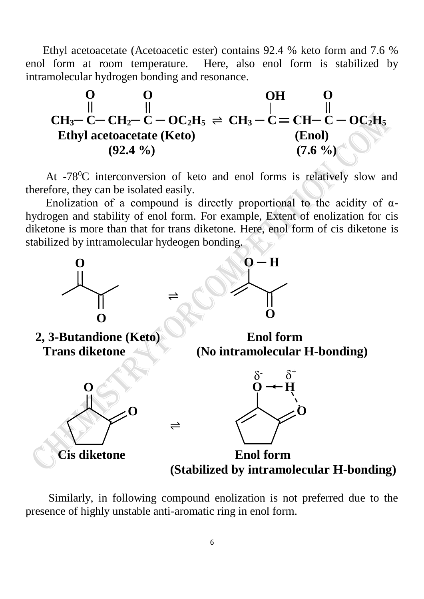Ethyl acetoacetate (Acetoacetic ester) contains 92.4 % keto form and 7.6 % enol form at room temperature. Here, also enol form is stabilized by intramolecular hydrogen bonding and resonance.



At -78<sup>0</sup>C interconversion of keto and enol forms is relatively slow and therefore, they can be isolated easily.

Enolization of a compound is directly proportional to the acidity of  $\alpha$ hydrogen and stability of enol form. For example, Extent of enolization for cis diketone is more than that for trans diketone. Here, enol form of cis diketone is stabilized by intramolecular hydeogen bonding.



 Similarly, in following compound enolization is not preferred due to the presence of highly unstable anti-aromatic ring in enol form.